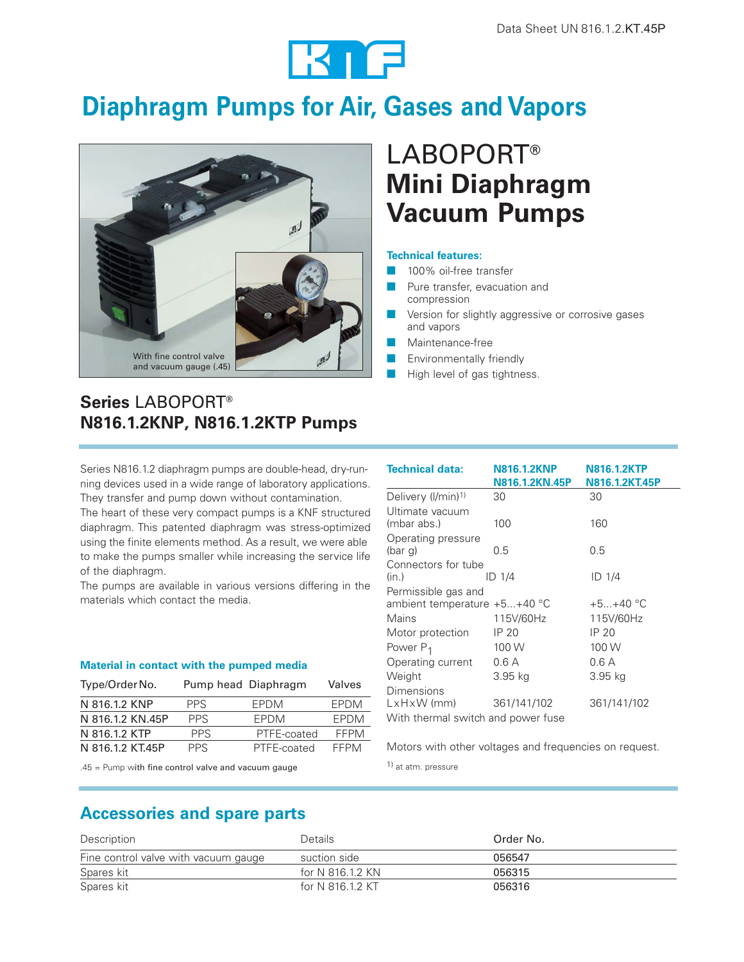

# **Diaphragm Pumps for Air, Gases and Vapors**



# LABOPORT**® Mini Diaphragm Vacuum Pumps**

### **Technical features:**

- 100% oil-free transfer
- Pure transfer, evacuation and compression
- Version for slightly aggressive or corrosive gases and vapors
- Maintenance-free
- Environmentally friendly
- High level of gas tightness.

## **Series** LABOPORT**® N816.1.2KNP, N816.1.2KTP Pumps**

Series N816.1.2 diaphragm pumps are double-head, dry-running devices used in a wide range of laboratory applications. They transfer and pump down without contamination.

The heart of these very compact pumps is a KNF structured diaphragm. This patented diaphragm was stress-optimized using the finite elements method. As a result, we were able to make the pumps smaller while increasing the service life of the diaphragm.

The pumps are available in various versions differing in the materials which contact the media.

### **Material in contact with the pumped media**

| Type/Order No.   |      | Pump head Diaphragm | Valves      |
|------------------|------|---------------------|-------------|
| N 816.1.2 KNP    | PPS. | <b>FPDM</b>         | <b>FPDM</b> |
| N 816.1.2 KN 45P | PPS. | <b>FPDM</b>         | <b>FPDM</b> |
| N 816.1.2 KTP    | PPS. | PTFE-coated         | FFPM        |
| N 816.1.2 KT45P  | PPS. | PTFE-coated         | FFPM        |

.45 = Pump with fine control valve and vacuum gauge

| <b>Technical data:</b>                                | <b>N816.1.2KNP</b><br>N816.1.2KN.45P | <b>N816.1.2KTP</b><br>N816.1.2KT.45P |  |  |
|-------------------------------------------------------|--------------------------------------|--------------------------------------|--|--|
| Delivery (I/min) <sup>1)</sup>                        | 30                                   | 30                                   |  |  |
| Ultimate vacuum<br>(mbar abs.)                        | 100                                  | 160                                  |  |  |
| Operating pressure<br>(bar g)                         | 0.5                                  | 0.5                                  |  |  |
| Connectors for tube<br>(in.)                          | ID 1/4                               | ID 1/4                               |  |  |
| Permissible gas and<br>ambient temperature $+5+40$ °C |                                      | $+5+40$ °C                           |  |  |
| Mains                                                 | 115V/60Hz                            | 115V/60Hz                            |  |  |
| Motor protection                                      | IP 20                                | IP 20                                |  |  |
| Power P <sub>1</sub>                                  | 100 W                                | 100 W                                |  |  |
| Operating current                                     | 0.6A                                 | 0.6 A                                |  |  |
| Weight                                                | 3.95 kg                              | 3.95 ka                              |  |  |
| Dimensions<br>$LxHxW$ (mm)                            | 361/141/102                          | 361/141/102                          |  |  |
| With thermal switch and power fuse                    |                                      |                                      |  |  |

Motors with other voltages and frequencies on request.

1) at atm. pressure

## **Accessories and spare parts**

| Description                          | Details          | Order No. |
|--------------------------------------|------------------|-----------|
| Fine control valve with vacuum gauge | suction side     | 056547    |
| Spares kit                           | for N 816.1.2 KN | 056315    |
| Spares kit                           | for N 816.1.2 KT | 056316    |